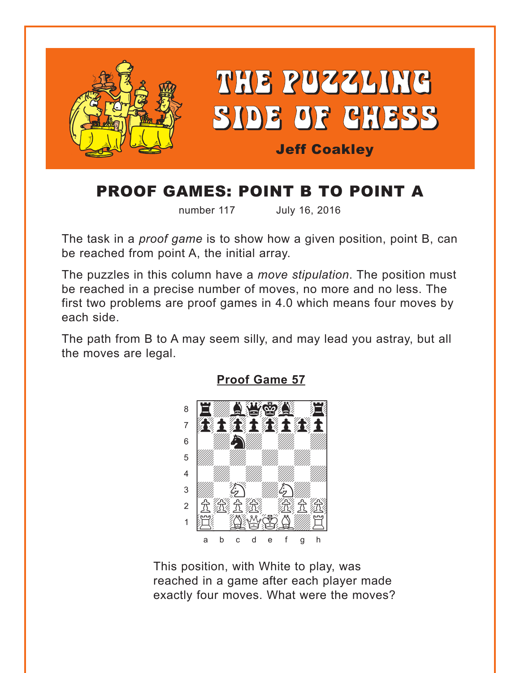<span id="page-0-0"></span>

## PROOF GAMES: POINT B TO POINT A

number 117 July 16, 2016

The task in a *proof game* is to show how a given position, point B, can be reached from point A, the initial array.

The puzzles in this column have a *move stipulation*. The position must be reached in a precise number of moves, no more and no less. The first two problems are proof games in 4.0 which means four moves by each side.

The path from B to A may seem silly, and may lead you astray, but all the moves are legal.



**[Proof Game 57](#page-4-0)**

This position, with White to play, was reached in a game after each player made exactly four moves. What were the moves?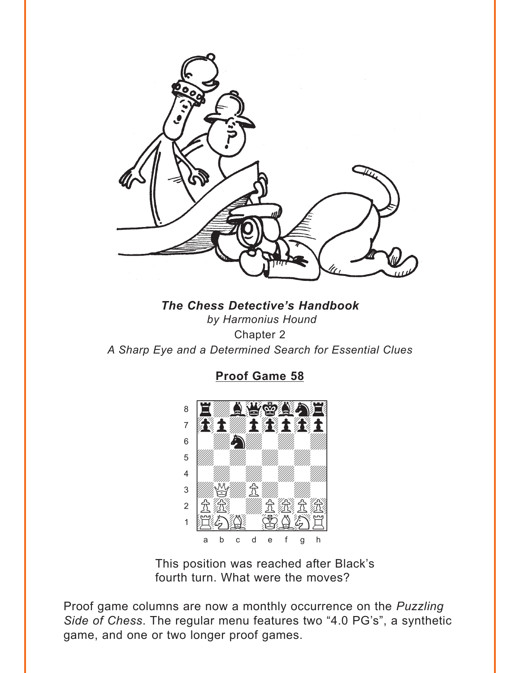<span id="page-1-0"></span>

The Chess Detective's Handbook by Harmonius Hound Chapter 2 A Sharp Eye and a Determined Search for Essential Clues





This position was reached after Black's fourth turn. What were the moves?

Proof game columns are now a monthly occurrence on the Puzzling Side of Chess. The regular menu features two "4.0 PG's", a synthetic game, and one or two longer proof games.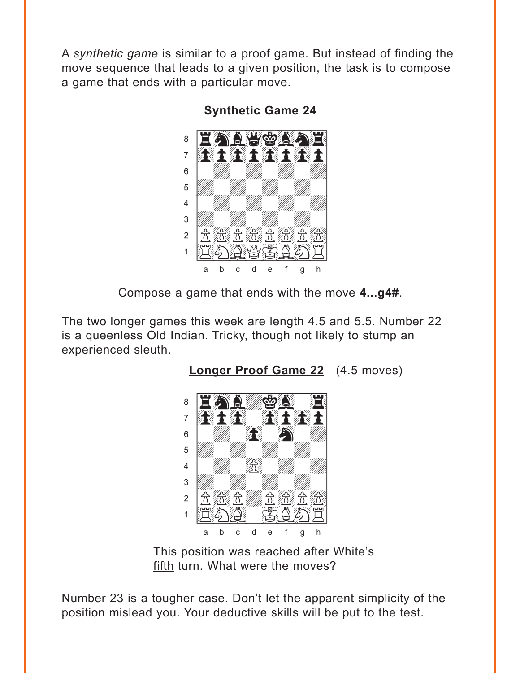<span id="page-2-0"></span>A *synthetic game* is similar to a proof game. But instead of finding the move sequence that leads to a given position, the task is to compose a game that ends with a particular move.



**[Synthetic Game 24](#page-5-0)**

Compose a game that ends with the move **4...g4#**.

The two longer games this week are length 4.5 and 5.5. Number 22 is a queenless Old Indian. Tricky, though not likely to stump an experienced sleuth.



**[Longer Proof Game 22](#page-6-0)** (4.5 moves)

This position was reached after White's fifth turn. What were the moves?

Number 23 is a tougher case. Don't let the apparent simplicity of the position mislead you. Your deductive skills will be put to the test.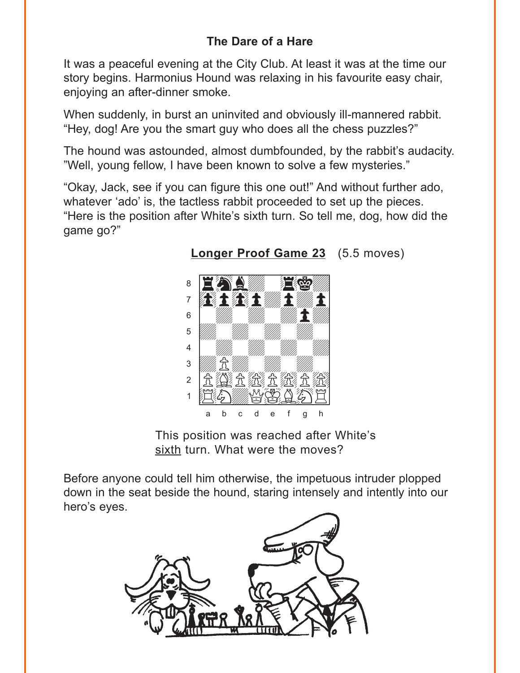<span id="page-3-0"></span>It was a peaceful evening at the City Club. At least it was at the time our story begins. Harmonius Hound was relaxing in his favourite easy chair, enjoying an after-dinner smoke.

When suddenly, in burst an uninvited and obviously ill-mannered rabbit. "Hey, dog! Are you the smart guy who does all the chess puzzles?"

The hound was astounded, almost dumbfounded, by the rabbit's audacity. "Well, young fellow, I have been known to solve a few mysteries."

"Okay, Jack, see if you can figure this one out!" And without further ado, whatever 'ado' is, the tactless rabbit proceeded to set up the pieces. "Here is the position after White's sixth turn. So tell me, dog, how did the game go?"



**Longer Proof Game 23** (5.5 moves)

This position was reached after White's sixth turn. What were the moves?

Before anyone could tell him otherwise, the impetuous intruder plopped down in the seat beside the hound, staring intensely and intently into our hero's eyes.

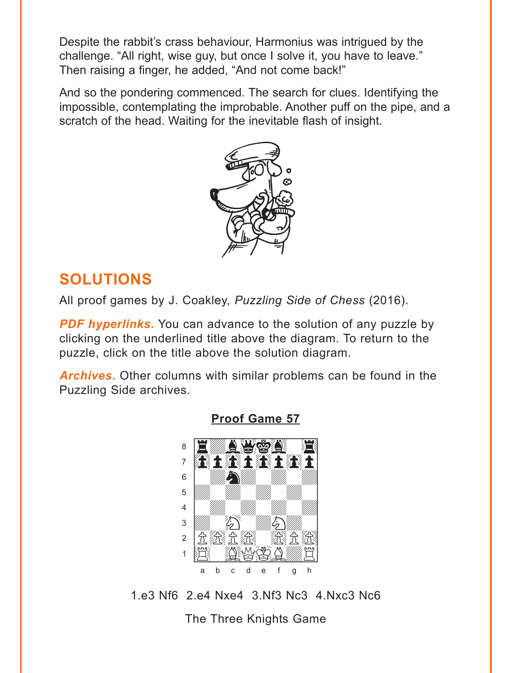<span id="page-4-0"></span>Despite the rabbit's crass behaviour, Harmonius was intrigued by the challenge. "All right, wise guy, but once I solve it, you have to leave." Then raising a finger, he added, "And not come back!"

And so the pondering commenced. The search for clues. Identifying the impossible, contemplating the improbable. Another puff on the pipe, and a scratch of the head. Waiting for the inevitable flash of insight.



## **SOLUTIONS**

All proof games by J. Coakley, Puzzling Side of Chess (2016).

**PDF hyperlinks.** You can advance to the solution of any puzzle by clicking on the underlined title above the diagram. To return to the puzzle, click on the title above the solution diagram.

**Archives.** Other columns with similar problems can be found in the Puzzling Side archives.



**Proof Game 57** 

1.e3 Nf6 2.e4 Nxe4 3.Nf3 Nc3 4.Nxc3 Nc6

The Three Knights Game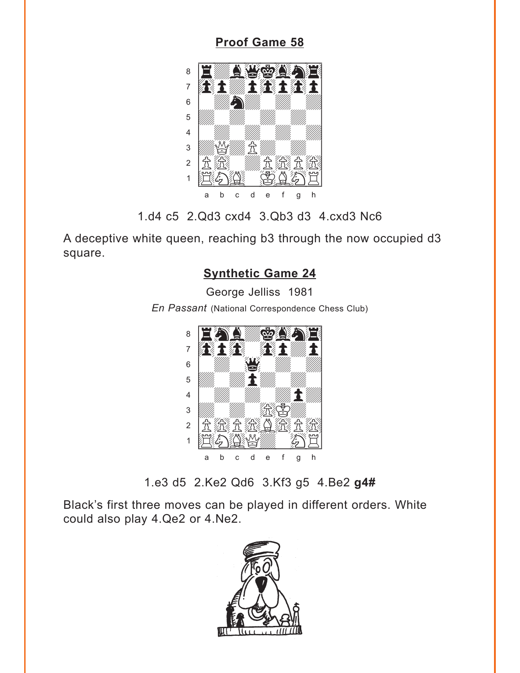## **[Proof Game 58](#page-1-0)**

<span id="page-5-0"></span>

1.d4 c5 2.Qd3 cxd4 3.Qb3 d3 4.cxd3 Nc6

A deceptive white queen, reaching b3 through the now occupied d3 square.

## **[Synthetic Game 24](#page-2-0)**

George Jelliss 1981 *En Passant* (National Correspondence Chess Club)



1.e3 d5 2.Ke2 Qd6 3.Kf3 g5 4.Be2 **g4#**

Black's first three moves can be played in different orders. White could also play 4.Qe2 or 4.Ne2.